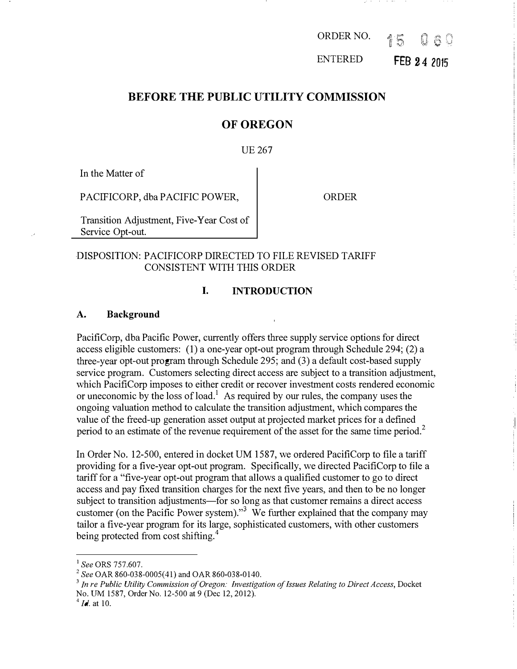ORDER NO. 15 Q 6 1

ENTERED FEB 24 2015

### BEFORE THE PUBLIC UTILITY COMMISSION

### OF OREGON

#### UE 267

In the Matter of

PACIFICORP, dba PACIFIC POWER,

ORDER

Transition Adjustment, Five-Year Cost of Service Opt-out.

#### DISPOSITION: PACIFICORP DIRECTED TO FILE REVISED TARIFF CONSISTENT WITH THIS ORDER

#### I. INTRODUCTION

#### A. Background

PacifiCorp, dba Pacific Power, currently offers three supply service options for direct access eligible customers: (1) a one-year opt-out program through Schedule 294; (2) a three-year opt-out program through Schedule 295; and (3) a default cost-based supply service program. Customers selecting direct access are subject to a transition adjustment, which PacifiCorp imposes to either credit or recover investment costs rendered economic or uneconomic by the loss of load.<sup>1</sup> As required by our rules, the company uses the ongoing valuation method to calculate the transition adjustment, which compares the value of the freed-up generation asset output at projected market prices for a defined period to an estimate of the revenue requirement of the asset for the same time period.<sup>2</sup>

In Order No. 12-500, entered in docket UM 1587, we ordered PacifiCorp to file a tariff providing for a five-year opt-out program. Specifically, we directed PacifiCorp to file a tariff for a "five-year opt-out program that allows a qualified customer to go to direct access and pay fixed transition charges for the next five years, and then to be no longer subject to transition adjustments-for so long as that customer remains a direct access customer (on the Pacific Power system)."3 We further explained that the company may tailor a five-year program for its large, sophisticated customers, with other customers being protected from cost shifting.<sup>4</sup>

<sup>&</sup>lt;sup>1</sup> See ORS 757.607.

 $2$  See OAR 860-038-0005(41) and OAR 860-038-0140.

 $3$  In re Public Utility Commission of Oregon: Investigation of Issues Relating to Direct Access, Docket No. UM 1587, Order No. 12-500 at 9 (Dec 12, 2012).

 $^{4}$  *Id.* at 10.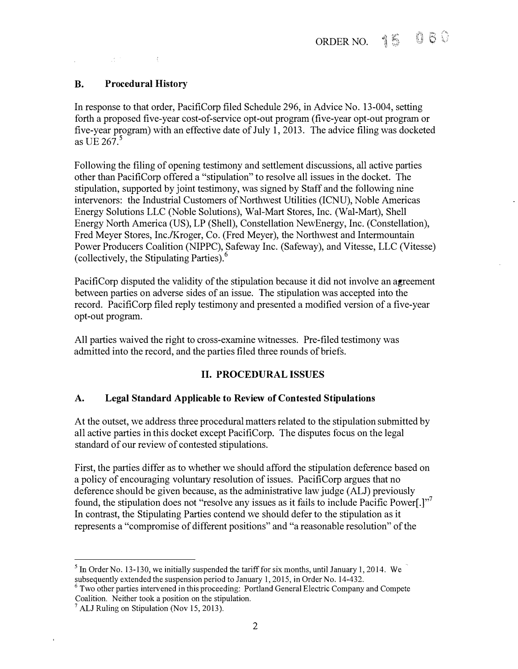# B. Procedural History

 $\frac{1}{2}$ 

一本の

In response to that order, PacifiCorp filed Schedule 296, in Advice No. 13-004, setting forth a proposed five-year cost-of-service opt-out program (five-year opt-out program or five-year program) with an effective date of July 1, 2013. The advice filing was docketed as UE  $267$ <sup>5</sup>

Following the filing of opening testimony and settlement discussions, all active parties other than PacifiCorp offered a "stipulation" to resolve all issues in the docket. The stipulation, supported by joint testimony, was signed by Staff and the following nine intervenors: the Industrial Customers of Northwest Utilities (ICNU), Noble Americas Energy Solutions LLC (Noble Solutions), Wal-Mart Stores, Inc. (Wal-Mart), Shell Energy North America (US), LP (Shell), Constellation NewEnergy, Inc. (Constellation), Fred Meyer Stores, Inc./Kroger, Co. (Fred Meyer), the Northwest and Intermountain Power Producers Coalition (NIPPC), Safeway Inc. (Safeway), and Vitesse, LLC (Vitesse) (collectively, the Stipulating Parties). <sup>6</sup>

PacifiCorp disputed the validity of the stipulation because it did not involve an agreement between parties on adverse sides of an issue. The stipulation was accepted into the record. PacifiCorp filed reply testimony and presented a modified version of a five-year opt-out program.

All parties waived the right to cross-examine witnesses. Pre-filed testimony was admitted into the record, and the parties filed three rounds of briefs.

# II. PROCEDURAL ISSUES

#### A. Legal Standard Applicable to Review of Contested Stipulations

At the outset, we address three procedural matters related to the stipulation submitted by all active parties in this docket except PacifiCorp. The disputes focus on the legal standard of our review of contested stipulations.

First, the parties differ as to whether we should afford the stipulation deference based on a policy of encouraging voluntary resolution of issues. PacifiCorp argues that no deference should be given because, as the administrative law judge (ALJ) previously found, the stipulation does not "resolve any issues as it fails to include Pacific Power.]"<sup>7</sup> In contrast, the Stipulating Parties contend we should defer to the stipulation as it represents a "compromise of different positions" and "a reasonable resolution" of the

 $<sup>5</sup>$  In Order No. 13-130, we initially suspended the tariff for six months, until January 1, 2014. We</sup> subsequently extended the suspension period to January I, 2015, in Order No. 14-432.

<sup>&</sup>lt;sup>6</sup> Two other parties intervened in this proceeding: Portland General Electric Company and Compete Coalition. Neither took a position on the stipulation.

<sup>&</sup>lt;sup>7</sup> ALJ Ruling on Stipulation (Nov 15, 2013).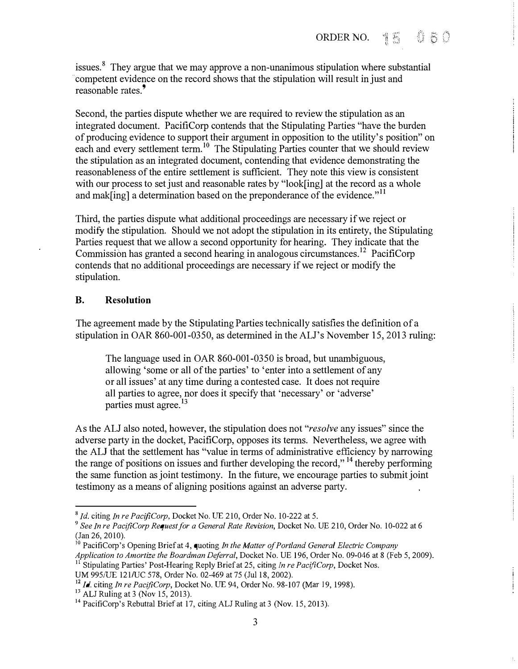issues.<sup>8</sup> They argue that we may approve a non-unanimous stipulation where substantial competent evidence on the record shows that the stipulation will result in just and reasonable rates.<sup>9</sup>

Second, the parties dispute whether we are required to review the stipulation as an integrated document. PacifiCorp contends that the Stipulating Parties "have the burden of producing evidence to support their argument in opposition to the utility's position" on each and every settlement term.<sup>10</sup> The Stipulating Parties counter that we should review the stipulation as an integrated document, contending that evidence demonstrating the reasonableness of the entire settlement is sufficient. They note this view is consistent with our process to set just and reasonable rates by "look[ing] at the record as a whole and mak[ing] a determination based on the preponderance of the evidence."<sup>11</sup>

Third, the parties dispute what additional proceedings are necessary if we reject or modify the stipulation. Should we not adopt the stipulation in its entirety, the Stipulating Parties request that we allow a second opportunity for hearing. They indicate that the Commission has granted a second hearing in analogous circumstances.12 PacifiCorp contends that no additional proceedings are necessary if we reject or modify the stipulation.

#### B. Resolution

The agreement made by the Stipulating Parties technically satisfies the definition of a stipulation in OAR 860-001-0350, as determined in the ALJ's November 15, 2013 ruling:

The language used in OAR 860-001-0350 is broad, but unambiguous, allowing 'some or all of the parties' to 'enter into a settlement of any or all issues' at any time during a contested case. It does not require all parties to agree, nor does it specify that 'necessary' or 'adverse' parties must agree.<sup>13</sup>

As the ALJ also noted, however, the stipulation does not "*resolve* any issues" since the adverse party in the docket, PacifiCorp, opposes its terms. Nevertheless, we agree with the ALJ that the settlement has "value in terms of administrative efficiency by narrowing the range of positions on issues and further developing the record,"<sup>14</sup> thereby performing the same function as joint testimony. In the future, we encourage parties to submit joint testimony as a means of aligning positions against an adverse party.

 $8$  Id. citing In re PacifiCorp, Docket No. UE 210, Order No. 10-222 at 5.

<sup>&</sup>lt;sup>9</sup> See In re PacifiCorp Request for a General Rate Revision, Docket No. UE 210, Order No. 10-022 at 6 (Jan 26, 2010).

<sup>&</sup>lt;sup>10</sup> PacifiCorp's Opening Brief at 4, quoting *In the Matter of Portland General Electric Company* Application to Amortize the Boardman Deferral, Docket No. UE 196, Order No. 09-046 at 8 (Feb 5, 2009). <sup>11</sup> Stipulating Parties' Post-Hearing Reply Brief at 25, citing *In re PacifiCorp*, Docket Nos.

UM 995/UE 121/UC 578, Order No. 02-469 at 75 (Jul 18, 2002).

 $\frac{12}{12}$  Id. citing In re PacifiCorp, Docket No. UE 94, Order No. 98-107 (Mar 19, 1998).

 $13$  ALJ Ruling at 3 (Nov 15, 2013).

<sup>&</sup>lt;sup>14</sup> PacifiCorp's Rebuttal Brief at 17, citing ALJ Ruling at 3 (Nov. 15, 2013).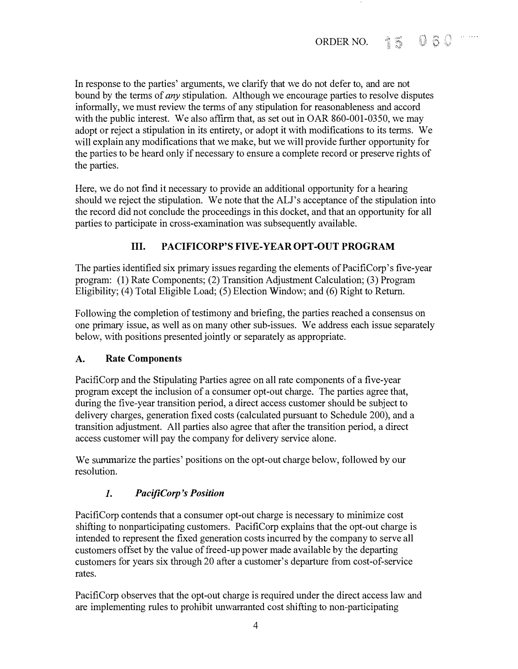In response to the parties' arguments, we clarify that we do not defer to, and are not bound by the terms of *any* stipulation. Although we encourage parties to resolve disputes informally, we must review the terms of any stipulation for reasonableness and accord with the public interest. We also affirm that, as set out in OAR 860-001-0350, we may adopt or reject a stipulation in its entirety, or adopt it with modifications to its terms. We will explain any modifications that we make, but we will provide further opportunity for the parties to be heard only if necessary to ensure a complete record or preserve rights of the parties.

Here, we do not find it necessary to provide an additional opportunity for a hearing should we reject the stipulation. We note that the ALJ's acceptance of the stipulation into the record did not conclude the proceedings in this docket, and that an opportunity for all parties to participate in cross-examination was subsequently available.

# III. PACIFICORP'S FIVE-YEAR OPT-OUT PROGRAM

The parties identified six primary issues regarding the elements of PacifiCorp's five-year program: (1) Rate Components; (2) Transition Adjustment Calculation; (3) Program Eligibility; (4) Total Eligible Load; (5) Election Window; and (6) Right to Return.

Following the completion of testimony and briefing, the parties reached a consensus on one primary issue, as well as on many other sub-issues. We address each issue separately below, with positions presented jointly or separately as appropriate.

# A. Rate Components

PacifiCorp and the Stipulating Parties agree on all rate components of a five-year program except the inclusion of a consumer opt-out charge. The parties agree that, during the five-year transition period, a direct access customer should be subject to delivery charges, generation fixed costs (calculated pursuant to Schedule 200), and a transition adjustment. All parties also agree that after the transition period, a direct access customer will pay the company for delivery service alone.

We summarize the parties' positions on the opt-out charge below, followed by our resolution.

# 1. PacifiCorp 's Position

PacifiCorp contends that a consumer opt-out charge is necessary to minimize cost shifting to nonparticipating customers. PacifiCorp explains that the opt-out charge is intended to represent the fixed generation costs incurred by the company to serve all customers offset by the value of freed-up power made available by the departing customers for years six through 20 after a customer's departure from cost-of-service rates.

PacifiCorp observes that the opt-out charge is required under the direct access law and are implementing rules to prohibit unwarranted cost shifting to non-participating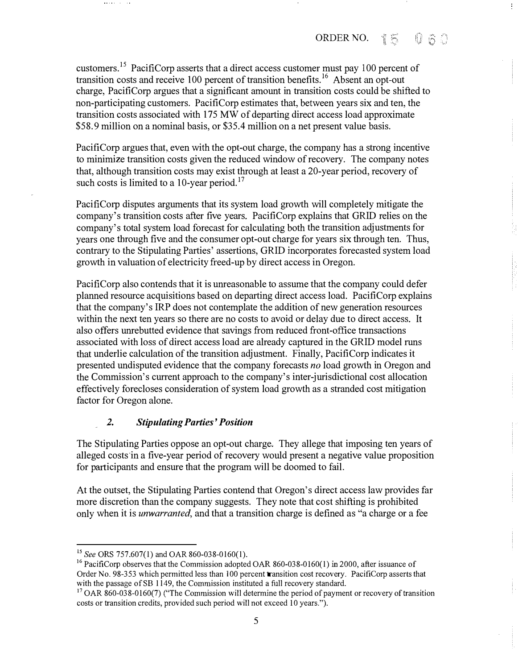÷,

customers.15 PacifiCorp asserts that a direct access customer must pay 100 percent of transition costs and receive 100 percent of transition benefits.<sup>16</sup> Absent an opt-out charge, PacifiCorp argues that a significant amount in transition costs could be shifted to non-participating customers. PacifiCorp estimates that, between years six aud ten, the transition costs associated with 175 MW of departing direct access load approximate \$58.9 million on a nominal basis, or \$35.4 million on a net present value basis.

PacifiCorp argues that, even with the opt-out charge, the company has a strong incentive to minimize transition costs given the reduced window of recovery. The company notes that, although transition costs may exist through at least a 20-year period, recovery of such costs is limited to a 10-year period.<sup>17</sup>

PacifiCorp disputes arguments that its system load growth will completely mitigate the compauy's transition costs after five years. PacifiCorp explains that GRID relies on the company's total system load forecast for calculating both the trausition adjustments for years one through five and the consumer opt-out charge for years six through ten. Thus, contrary to the Stipulating Parties' assertions, GRID incorporates forecasted system load growth in valuation of electricity freed-up by direct access in Oregon.

PacifiCorp also contends that it is unreasonable to assume that the company could defer planned resource acquisitions based on departing direct access load. PacifiCorp explains that the company's IRP does not contemplate the addition of new generation resources within the next ten years so there are no costs to avoid or delay due to direct access. It also offers unrebutted evidence that savings from reduced front-office trausactions associated with loss of direct access load are already captured in the GRID model runs that underlie calculation of the transition adjustment. Finally, PacifiCorp indicates it presented undisputed evidence that the company forecasts no load growth in Oregon and the Commission's current approach to the company's inter-jurisdictional cost allocation effectively forecloses consideration of system load growth as a strauded cost mitigation factor for Oregon alone.

#### 2. Stipulating Parties' Position

The Stipulating Parties oppose au opt-out charge. They allege that imposing ten years of alleged costs 'in a five-year period of recovery would present a negative value proposition for participants and ensure that the program will be doomed to fail.

At the outset, the Stipulating Parties contend that Oregon's direct access law provides far more discretion than the company suggests. They note that cost shifting is prohibited only when it is *unwarranted*, and that a transition charge is defined as "a charge or a fee

<sup>&</sup>lt;sup>15</sup> See ORS 757.607(1) and OAR 860-038-0160(1).

<sup>&</sup>lt;sup>16</sup> PacifiCorp observes that the Commission adopted OAR 860-038-0160(1) in 2000, after issuance of Order No. 98-353 which permitted less than 100 percent transition cost recovery. PacifiCorp asserts that with the passage of SB 1149, the Commission instituted a full recovery standard.

 $17$  OAR 860-038-0160(7) ("The Commission will determine the period of payment or recovery of transition costs or transition credits, provided such period will not exceed 10 years.").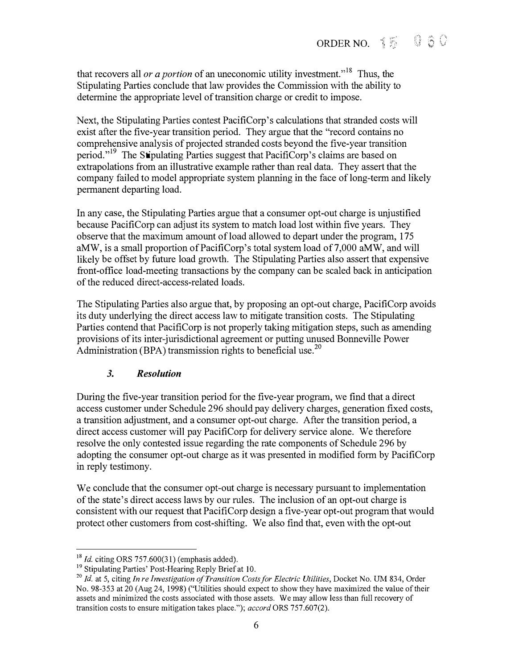that recovers all *or a portion* of an uneconomic utility investment."<sup>18</sup> Thus, the Stipulating Parties conclude that law provides the Commission with the ability to determine the appropriate level of transition charge or credit to impose.

Next, the Stipulating Parties contest PacifiCorp's calculations that stranded costs will exist after the five-year transition period. They argue that the "record contains no comprehensive analysis of projected stranded costs beyond the five-year transition period."19 The Stipulating Parties suggest that PacifiCorp's claims are based on extrapolations from an illustrative example rather than real data. They assert that the company failed to model appropriate system planning in the face of long-term and likely permanent departing load.

In any case, the Stipulating Parties argue that a consumer opt-out charge is unjustified because PacifiCorp can adjust its system to match load lost within five years. They observe that the maximum amount of load allowed to depart under the program, 175 aMW, is a small proportion of PacifiCorp's total system load of 7,000 aMW, and will likely be offset by future load growth. The Stipulating Parties also assert that expensive front-office load-meeting transactions by the company can be scaled back in anticipation of the reduced direct-access-related loads.

The Stipulating Parties also argue that, by proposing an opt-out charge, PacifiCorp avoids its duty underlying the direct access law to mitigate transition costs. The Stipulating Parties contend that PacifiCorp is not properly taking mitigation steps, such as amending provisions of its inter-jurisdictional agreement or putting unused Bonneville Power Administration (BPA) transmission rights to beneficial use.<sup>20</sup>

# 3. Resolution

During the five-year transition period for the five-year program, we find that a direct access customer under Schedule 296 should pay delivery charges, generation fixed costs, a transition adjustment, and a consumer opt-out charge. After the transition period, a direct access customer will pay PacifiCorp for delivery service alone. We therefore resolve the only contested issue regarding the rate components of Schedule 296 by adopting the consumer opt-out charge as it was presented in modified form by PacifiCorp in reply testimony.

We conclude that the consumer opt-out charge is necessary pursuant to implementation of the state's direct access laws by our rules. The inclusion of an opt-out charge is consistent with our request that PacifiCorp design a five-year opt-out program that would protect other customers from cost-shifting. We also find that, even with the opt-out

 $18$  *Id.* citing ORS 757.600(31) (emphasis added).

<sup>&</sup>lt;sup>19</sup> Stipulating Parties' Post-Hearing Reply Brief at 10.

 $20$  Id. at 5, citing In re Investigation of Transition Costs for Electric Utilities, Docket No. UM 834, Order No. 98-353 at 20 (Aug 24, 1998) ("Utilities should expect to show they have maximized the value of their assets and minimized the costs associated with those assets. We may allow less than full recovery of transition costs to ensure mitigation takes place."); accord ORS 757.607(2).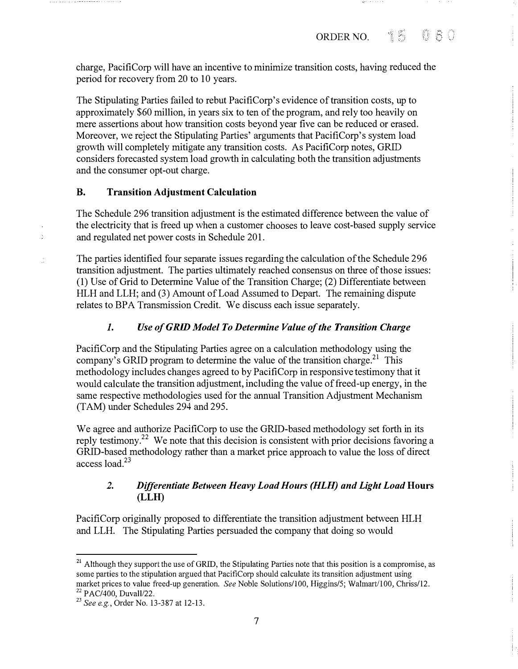charge, PacifiCorp will have an incentive to minimize transition costs, having reduced the period for recovery from 20 to 10 years.

The Stipulating Parties failed to rebut PacifiCorp's evidence of transition costs, up to approximately \$60 million, in years six to ten of the program, and rely too heavily on mere assertions about how transition costs beyond year five can be reduced or erased. Moreover, we reject the Stipulating Parties' arguments that PacifiCorp's system load growth will completely mitigate any transition costs. As PacifiCorp notes, GRID considers forecasted system load growth in calculating both the transition adjustments and the consumer opt-out charge.

### B. Transition Adjustment Calculation

ă.

The Schedule 296 transition adjustment is the estimated difference between the value of the electricity that is freed up when a customer chooses to leave cost-based supply service and regulated net power costs in Schedule 201.

The parties identified four separate issues regarding the calculation of the Schedule 296 transition adjustment. The parties ultimately reached consensus on three of those issues: (1) Use of Grid to Determine Value of the Transition Charge; (2) Differentiate between HLH and LLH; and (3) Amount of Load Assumed to Depart. The remaining dispute relates to BPA Transmission Credit. We discuss each issue separately.

# 1. Use of GRID Model To Determine Value of the Transition Charge

PacifiCorp and the Stipulating Parties agree on a calculation methodology using the company's GRID program to determine the value of the transition charge.<sup>21</sup> This methodology includes changes agreed to by PacifiCorp in responsive testimony that it would calculate the transition adjustment, including the value of freed-up energy, in the same respective methodologies used for the annual Transition Adjustment Mechanism (TAM) under Schedules 294 and 295.

We agree and authorize PacifiCorp to use the GRID-based methodology set forth in its reply testimony.<sup>22</sup> We note that this decision is consistent with prior decisions favoring a GRID-based methodology rather than a market price approach to value the loss of direct access load.23

# 2. Differentiate Between Heavy Load Hours (HLH) and Light Load Hours (LLH)

PacifiCorp originally proposed to differentiate the transition adjustment between HLH and LLH. The Stipulating Parties persuaded the company that doing so would

<sup>&</sup>lt;sup>21</sup> Although they support the use of GRID, the Stipulating Parties note that this position is a compromise, as some parties to the stipulation argued that PacifiCorp should calculate its transition adjustment using market prices to value freed-up generation. See Noble Solutions/] 00, Higgins/5; Walmart/100, Chriss/12.  $22$  PAC/400, Duvall/22.

<sup>&</sup>lt;sup>23</sup> See e.g., Order No. 13-387 at 12-13.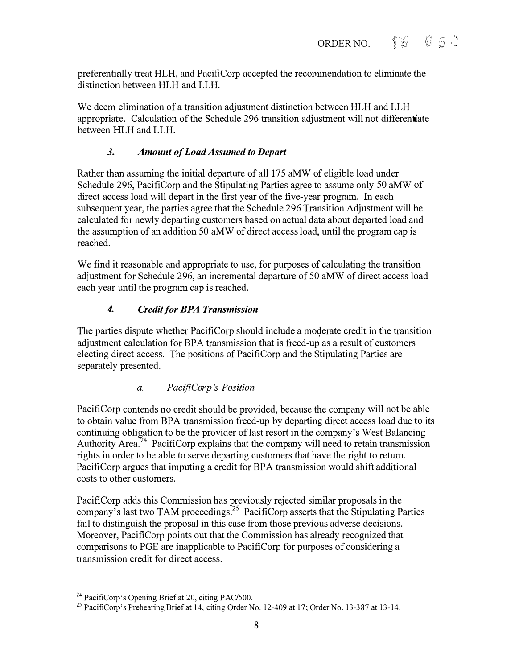preferentially treat HLH, and PacifiCorp accepted the reconnnendation to eliminate the distinction between HLH and LLH.

We deem elimination of a transition adjustment distinction between HLH and LLH appropriate. Calculation of the Schedule 296 transition adjustment will not differentiate between HLH and LLH.

# 3. Amount of Load Assumed to Depart

Rather than assuming the initial departure of all 175 aMW of eligible load under Schedule 296, PacifiCorp and the Stipulating Parties agree to assume only 50 aMW of direct access load will depart in the first year of the five-year program. In each subsequent year, the parties agree that the Schedule 296 Transition Adjustment will be calculated for newly departing customers based on actual data about departed load and the assumption of an addition 50 aMW of direct access load, until the program cap is reached.

We find it reasonable and appropriate to use, for purposes of calculating the transition adjustment for Schedule 296, an incremental departure of 50 aMW of direct access load each year until the program cap is reached.

# 4. Credit for BPA Transmission

The parties dispute whether PacifiCorp should include a moderate credit in the transition adjustment calculation for BPA transmission that is freed-up as a result of customers electing direct access. The positions of PacifiCorp and the Stipulating Parties are separately presented.

a. PacifiCorp 's Position

PacifiCorp contends no credit should be provided, because the company will not be able to obtain value from BPA transmission freed-up by departing direct access load due to its continuing obligation to be the provider of last resort in the company's West Balancing Authority Area.<sup>24</sup> PacifiCorp explains that the company will need to retain transmission rights in order to be able to serve departing customers that have the right to return. PacifiCorp argues that imputing a credit for BPA transmission would shift additional costs to other customers.

PacifiCorp adds this Commission has previously rejected similar proposals in the company's last two TAM proceedings.<sup>25</sup> PacifiCorp asserts that the Stipulating Parties fail to distinguish the proposal in this case from those previous adverse decisions. Moreover, PacifiCorp points out that the Commission has already recognized that comparisons to PGE are inapplicable to PacifiCorp for purposes of considering a transmission credit for direct access.

<sup>&</sup>lt;sup>24</sup> PacifiCorp's Opening Brief at 20, citing PAC/500.

 $2^2$  PacifiCorp's Prehearing Brief at 14, citing Order No. 12-409 at 17; Order No. 13-387 at 13-14.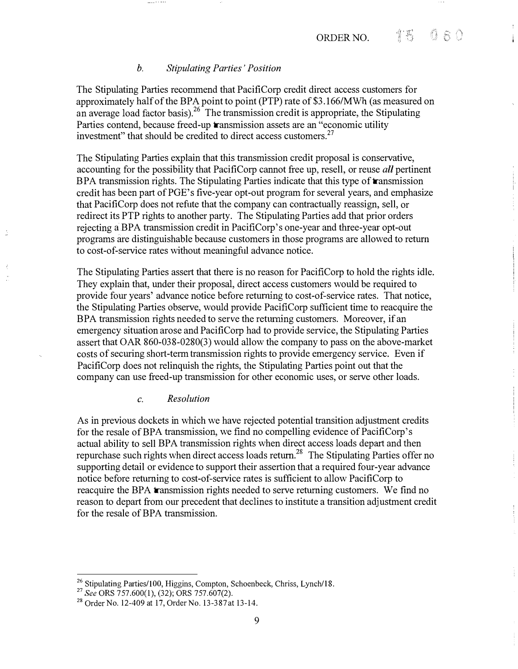#### b. Stipulating Parties' Position

The Stipulating Parties recommend that PacifiCorp credit direct access customers for approximately half of the BPA point to point (PTP) rate of \$3.166/MWh (as measured on an average load factor basis).  $26$  The transmission credit is appropriate, the Stipulating Parties contend, because freed-up **transmission** assets are an "economic utility investment" that should be credited to direct access customers.<sup>27</sup>

The Stipulating Parties explain that this transmission credit proposal is conservative, accounting for the possibility that PacifiCorp cannot free up, resell, or reuse *all* pertinent BPA transmission rights. The Stipulating Parties indicate that this type of **transmission** credit has been part of PGE's five-year opt-out program for several years, and emphasize that PacifiCorp does not refute that the company can contractually reassign, sell, or redirect its PTP rights to another party. The Stipulating Parties add that prior orders rejecting a BPA transmission credit in PacifiCorp's one-year and three-year opt-out programs are distinguishable because customers in those programs are allowed to return to cost-of-service rates without meaningful advance notice.

The Stipulating Parties assert that there is no reason for PacifiCorp to hold the rights idle. They explain that, under their proposal, direct access customers would be required to provide four years' advance notice before returning to cost-of-service rates. That notice, the Stipulating Parties observe, would provide PacifiCorp sufficient time to reacquire the BPA transmission rights needed to serve the returning customers. Moreover, if an emergency situation arose and PacifiCorp had to provide service, the Stipulating Parties assert that OAR 860-038-0280(3) would allow the company to pass on the above-market costs of securing short-term transmission rights to provide emergency service. Even if PacifiCorp does not relinquish the rights, the Stipulating Parties point out that the company can use freed-up transmission for other economic uses, or serve other loads.

#### c. Resolution

As in previous dockets in which we have rejected potential transition adjustment credits for the resale of BPA transmission, we find no compelling evidence of PacifiCorp's actual ability to sell BPA transmission rights when direct access loads depart and then repurchase such rights when direct access loads retum.28 The Stipulating Parties offer no supporting detail or evidence to support their assertion that a required four-year advance notice before returning to cost-of-service rates is sufficient to allow PacifiCorp to reacquire the BPA transmission rights needed to serve returning customers. We find no reason to depart from our precedent that declines to institute a transition adjustment credit for the resale of BPA transmission.

<sup>&</sup>lt;sup>26</sup> Stipulating Parties/100, Higgins, Compton, Schoenbeck, Chriss, Lynch/18.

<sup>&</sup>lt;sup>27</sup> See ORS 757.600(1), (32); ORS 757.607(2).

<sup>&</sup>lt;sup>28</sup> Order No. 12-409 at 17, Order No. 13-387 at 13-14.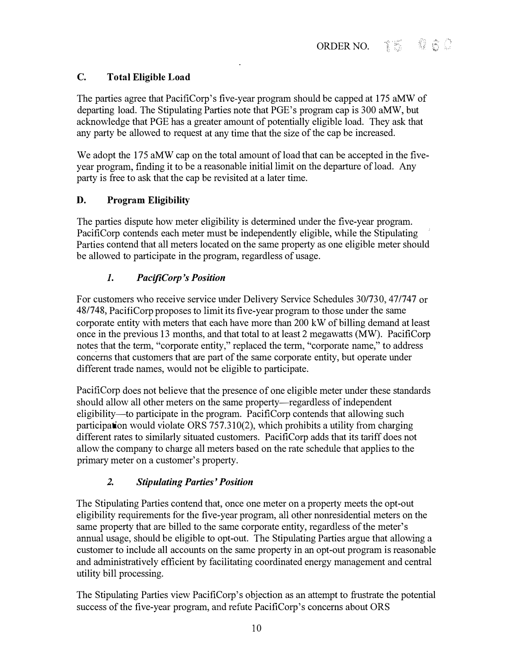# C. Total Eligible Load

The parties agree that PacifiCorp's five-year program should be capped at 175 aMW of departing load. The Stipulating Parties note that PGE's program cap is 300 aMW, but acknowledge that PGE has a greater amount of potentially eligible load. They ask that any party be allowed to request at any time that the size of the cap be increased.

We adopt the 175 aMW cap on the total amount of load that can be accepted in the fiveyear program, finding it to be a reasonable initial limit on the departure of load. Any party is free to ask that the cap be revisited at a later time.

# D. Program Eligibility

The parties dispute how meter eligibility is determined under the five-year program. PacifiCorp contends each meter must be independently eligible, while the Stipulating Parties contend that all meters located on the same property as one eligible meter should be allowed to participate in the program, regardless of usage.

# 1. PacifiCorp 's Position

For customers who receive service under Delivery Service Schedules 30/730, 47/747 or 48/748, PacifiCorp proposes to limit its five-year program to those under the same corporate entity with meters that each have more than 200 kW of billing demand at least once in the previous 13 months, and that total to at least 2 megawatts (MW). PacifiCorp notes that the term, "corporate entity," replaced the term, "corporate name," to address concerns that customers that are part of the same corporate entity, but operate under different trade names, would not be eligible to participate.

PacifiCorp does not believe that the presence of one eligible meter under these standards should allow all other meters on the same property—regardless of independent eligibility-to participate in the program. PacifiCorp contends that allowing such participation would violate ORS 757.310(2), which prohibits a utility from charging different rates to similarly situated customers. PacifiCorp adds that its tariff does not allow the company to charge all meters based on the rate schedule that applies to the primary meter on a customer's property.

# 2. Stipulating Parties' Position

The Stipulating Parties contend that, once one meter on a property meets the opt-out eligibility requirements for the five-year program, all other nomesidential meters on the same property that are billed to the same corporate entity, regardless of the meter's annual usage, should be eligible to opt-out. The Stipulating Parties argue that allowing a customer to include all accounts on the same property in an opt-out program is reasonable and administratively efficient by facilitating coordinated energy management and central utility bill processing.

The Stipulating Parties view PacifiCorp's objection as an attempt to frustrate the potential success of the five-year program, and refute PacifiCorp's concerns about ORS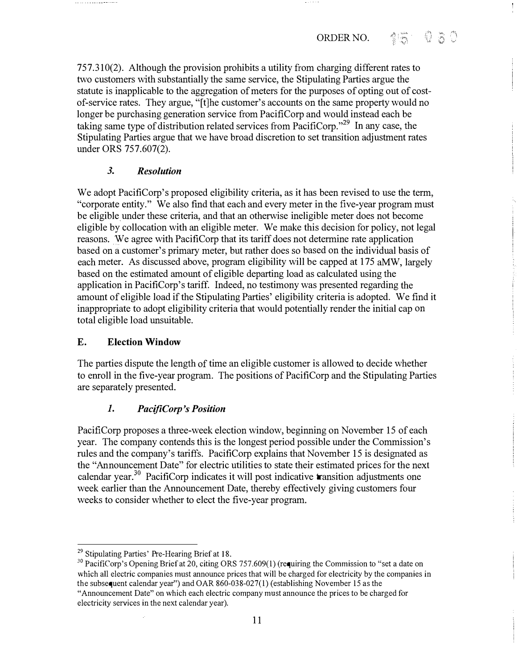757.310(2). Although the provision prohibits a utility from charging different rates to two customers with substantially the same service, the Stipulating Parties argue the statute is inapplicable to the aggregation of meters for the purposes of opting out of costof-service rates. They argue, "[t)he customer's accounts on the same property would no longer be purchasing generation service from PacifiCorp and would instead each be taking same type of distribution related services from PacifiCorp."29 In any case, the Stipulating Parties argue that we have broad discretion to set transition adjustment rates under ORS 757.607(2).

# 3. Resolution

We adopt PacifiCorp's proposed eligibility criteria, as it has been revised to use the term, "corporate entity." We also find that each and every meter in the five-year program must be eligible under these criteria, and that an otherwise ineligible meter does not become eligible by collocation with an eligible meter. We make this decision for policy, not legal reasons. We agree with PacifiCorp that its tariff does not determine rate application based on a customer's primary meter, but rather does so based on the individual basis of each meter. As discussed above, program eligibility will be capped at 175 aMW, largely based on the estimated amount of eligible departing load as calculated using the application in PacifiCorp's tariff. Indeed, no testimony was presented regarding the amount of eligible load if the Stipulating Parties' eligibility criteria is adopted. We find it inappropriate to adopt eligibility criteria that would potentially render the initial cap on total eligible load unsuitable.

# E. Election Window

The parties dispute the length of time an eligible customer is allowed to decide whether to enroll in the five-year program. The positions of PacifiCorp and the Stipulating Parties are separately presented.

# 1. PacifiCorp 's Position

PacifiCorp proposes a three-week election window, beginning on November 15 of each year. The company contends this is the longest period possible under the Commission's rules and the company's tariffs. PacifiCorp explains that November 15 is designated as the "Announcement Date" for electric utilities to state their estimated prices for the next calendar year.<sup>30</sup> PacifiCorp indicates it will post indicative **transition adjustments one** week earlier than the Announcement Date, thereby effectively giving customers four weeks to consider whether to elect the five-year program.

<sup>&</sup>lt;sup>29</sup> Stipulating Parties' Pre-Hearing Brief at 18.

<sup>&</sup>lt;sup>30</sup> PacifiCorp's Opening Brief at 20, citing ORS 757.609(1) (requiring the Commission to "set a date on which all electric companies must announce prices that will be charged for electricity by the companies in the subsequent calendar year") and OAR 860-038-027(1) (establishing November 15 as the "Announcement Date" on which each electric company must announce the prices to be charged for electricity services in the next calendar year).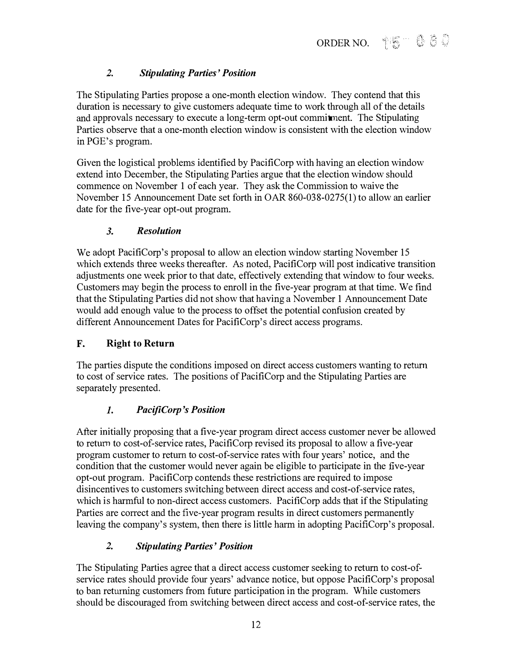# 2. Stipulating Parties ' Position

The Stipulating Parties propose a one-month election window. They contend that this duration is necessary to give customers adequate time to work through all of the details and approvals necessary to execute a long-term opt-out commitment. The Stipulating Parties observe that a one-month election window is consistent with the election window in PGE's program.

Given the logistical problems identified by PacifiCorp with having an election window extend into December, the Stipulating Parties argue that the election window should commence on November 1 of each year. They ask the Commission to waive the November 15 Announcement Date set forth in OAR 860-038-0275(1) to allow an earlier date for the five-year opt-out program.

### 3. Resolution

We adopt PacifiCorp's proposal to allow an election window starting November 15 which extends three weeks thereafter. As noted, PacifiCorp will post indicative transition adjustments one week prior to that date, effectively extending that window to four weeks. Customers may begin the process to enroll in the five-year program at that time. We find that the Stipulating Parties did not show that having a November 1 Announcement Date would add enough value to the process to offset the potential confusion created by different Announcement Dates for PacifiCorp's direct access programs.

# F. Right to Return

The parties dispute the conditions imposed on direct access customers wanting to return to cost of service rates. The positions of PacifiCorp and the Stipulating Parties are separately presented.

# 1. PacifiCorp 's Position

After initially proposing that a five-year program direct access customer never be allowed to return to cost-of-service rates, PacifiCorp revised its proposal to allow a five-year program customer to return to cost-of-service rates with four years' notice, and the condition that the customer would never again be eligible to participate in the five-year opt-out program. PacifiCorp contends these restrictions are required to impose disincentives to customers switching between direct access and cost-of-service rates, which is harmful to non-direct access customers. PacifiCorp adds that if the Stipulating Parties are correct and the five-year program results in direct customers permanently leaving the company's system, then there is little harm in adopting PacifiCorp's proposal.

# 2. Stipulating Parties' Position

The Stipulating Parties agree that a direct access customer seeking to return to cost-ofservice rates should provide four years' advance notice, but oppose PacifiCorp's proposal to ban returning customers from future participation in the program. While customers should be discouraged from switching between direct access and cost-of-service rates, the